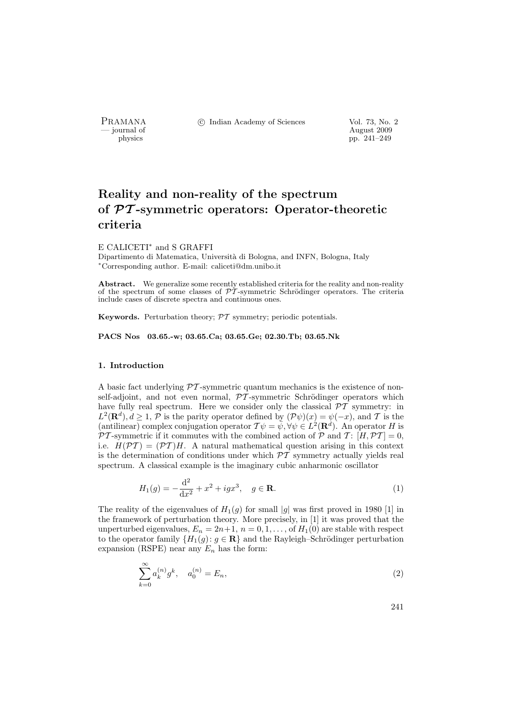PRAMANA °c Indian Academy of Sciences Vol. 73, No. 2

physics and the contract of the contract of the contract  $\frac{1}{2009}$  physics the contract of the contract of the contract of the contract of the contract of the contract of the contract of the contract of the contract of pp. 241–249

# Reality and non-reality of the spectrum of PT -symmetric operators: Operator-theoretic criteria

E CALICETI<sup>∗</sup> and S GRAFFI

Dipartimento di Matematica, Università di Bologna, and INFN, Bologna, Italy <sup>∗</sup>Corresponding author. E-mail: caliceti@dm.unibo.it

Abstract. We generalize some recently established criteria for the reality and non-reality of the spectrum of some classes of  $\tilde{\mathcal{PT}}$ -symmetric Schrödinger operators. The criteria include cases of discrete spectra and continuous ones.

Keywords. Perturbation theory;  $\mathcal{PT}$  symmetry; periodic potentials.

PACS Nos 03.65.-w; 03.65.Ca; 03.65.Ge; 02.30.Tb; 03.65.Nk

## 1. Introduction

A basic fact underlying  $\mathcal{P}T$ -symmetric quantum mechanics is the existence of nonself-adjoint, and not even normal,  $\mathcal{PT}$ -symmetric Schrödinger operators which have fully real spectrum. Here we consider only the classical  $\mathcal{P}\mathcal{T}$  symmetry: in  $L^2(\mathbf{R}^d), d \geq 1, \mathcal{P}$  is the parity operator defined by  $(\mathcal{P}\psi)(x) = \psi(-x)$ , and T is the (antilinear) complex conjugation operator  $\mathcal{T}\psi = \bar{\psi}, \forall \psi \in L^2(\mathbf{R}^d)$ . An operator H is  $\mathcal{PT}$ -symmetric if it commutes with the combined action of  $\mathcal P$  and  $\mathcal T: [H, \mathcal{PT}] = 0$ , i.e.  $H(\mathcal{PT}) = (\mathcal{PT})H$ . A natural mathematical question arising in this context is the determination of conditions under which  $\mathcal{PT}$  symmetry actually yields real spectrum. A classical example is the imaginary cubic anharmonic oscillator

$$
H_1(g) = -\frac{\mathrm{d}^2}{\mathrm{d}x^2} + x^2 + igx^3, \quad g \in \mathbf{R}.\tag{1}
$$

The reality of the eigenvalues of  $H_1(g)$  for small |g| was first proved in 1980 [1] in the framework of perturbation theory. More precisely, in [1] it was proved that the unperturbed eigenvalues,  $E_n = 2n+1$ ,  $n = 0, 1, \ldots$ , of  $H_1(0)$  are stable with respect to the operator family  $\{H_1(g): g \in \mathbf{R}\}\$ and the Rayleigh–Schrödinger perturbation expansion (RSPE) near any  $E_n$  has the form:

$$
\sum_{k=0}^{\infty} a_k^{(n)} g^k, \quad a_0^{(n)} = E_n,
$$
\n(2)

241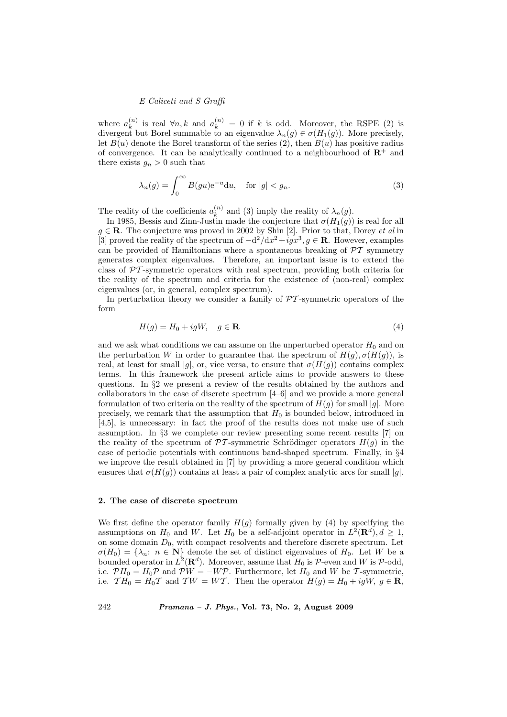where  $a_k^{(n)}$  $\binom{n}{k}$  is real ∀n, k and  $a_k^{(n)} = 0$  if k is odd. Moreover, the RSPE (2) is divergent but Borel summable to an eigenvalue  $\lambda_n(g) \in \sigma(H_1(g))$ . More precisely, let  $B(u)$  denote the Borel transform of the series (2), then  $B(u)$  has positive radius of convergence. It can be analytically continued to a neighbourhood of  $\mathbb{R}^+$  and there exists  $g_n > 0$  such that

$$
\lambda_n(g) = \int_0^\infty B(gu)e^{-u}du, \quad \text{for } |g| < g_n. \tag{3}
$$

The reality of the coefficients  $a_k^{(n)}$  $\lambda_k^{(n)}$  and (3) imply the reality of  $\lambda_n(g)$ .

In 1985, Bessis and Zinn-Justin made the conjecture that  $\sigma(H_1(g))$  is real for all  $g \in \mathbf{R}$ . The conjecture was proved in 2002 by Shin [2]. Prior to that, Dorey *et al* in [3] proved the reality of the spectrum of  $-d^2/dx^2+igx^3, g \in \mathbf{R}$ . However, examples can be provided of Hamiltonians where a spontaneous breaking of  $\mathcal{PT}$  symmetry generates complex eigenvalues. Therefore, an important issue is to extend the class of  $\mathcal{P}T$ -symmetric operators with real spectrum, providing both criteria for the reality of the spectrum and criteria for the existence of (non-real) complex eigenvalues (or, in general, complex spectrum).

In perturbation theory we consider a family of  $\mathcal{PT}$ -symmetric operators of the form

$$
H(g) = H_0 + igW, \quad g \in \mathbf{R} \tag{4}
$$

and we ask what conditions we can assume on the unperturbed operator  $H_0$  and on the perturbation W in order to guarantee that the spectrum of  $H(q)$ ,  $\sigma(H(q))$ , is real, at least for small |g|, or, vice versa, to ensure that  $\sigma(H(g))$  contains complex terms. In this framework the present article aims to provide answers to these questions. In §2 we present a review of the results obtained by the authors and collaborators in the case of discrete spectrum [4–6] and we provide a more general formulation of two criteria on the reality of the spectrum of  $H(q)$  for small |q|. More precisely, we remark that the assumption that  $H_0$  is bounded below, introduced in [4,5], is unnecessary: in fact the proof of the results does not make use of such assumption. In §3 we complete our review presenting some recent results [7] on the reality of the spectrum of  $\mathcal{PT}$ -symmetric Schrödinger operators  $H(g)$  in the case of periodic potentials with continuous band-shaped spectrum. Finally, in §4 we improve the result obtained in [7] by providing a more general condition which ensures that  $\sigma(H(q))$  contains at least a pair of complex analytic arcs for small |q|.

#### 2. The case of discrete spectrum

We first define the operator family  $H(g)$  formally given by (4) by specifying the assumptions on  $H_0$  and W. Let  $H_0$  be a self-adjoint operator in  $L^2(\mathbf{R}^d), d \geq 1$ , on some domain  $D_0$ , with compact resolvents and therefore discrete spectrum. Let  $\sigma(H_0) = {\lambda_n : n \in \mathbb{N}}$  denote the set of distinct eigenvalues of  $H_0$ . Let W be a bounded operator in  $L^2(\mathbf{R}^d)$ . Moreover, assume that  $H_0$  is  $P$ -even and W is  $P$ -odd, i.e.  $\mathcal{P}H_0 = H_0\mathcal{P}$  and  $\mathcal{P}W = -W\mathcal{P}$ . Furthermore, let  $H_0$  and W be T-symmetric, i.e.  $TH_0 = H_0T$  and  $TW = WT$ . Then the operator  $H(g) = H_0 + igW$ ,  $g \in \mathbb{R}$ ,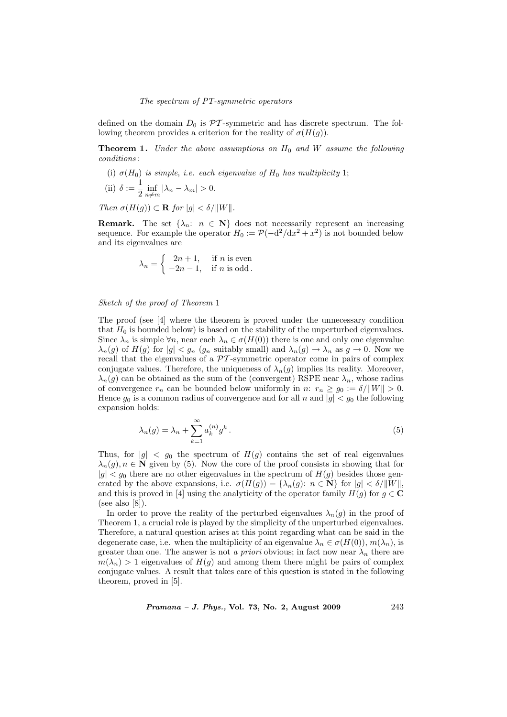#### The spectrum of PT-symmetric operators

defined on the domain  $D_0$  is  $\mathcal{PT}$ -symmetric and has discrete spectrum. The following theorem provides a criterion for the reality of  $\sigma(H(q))$ .

**Theorem 1.** Under the above assumptions on  $H_0$  and W assume the following conditions :

(i)  $\sigma(H_0)$  is simple, i.e. each eigenvalue of  $H_0$  has multiplicity 1; (ii)  $\delta := \frac{1}{2}$  $\frac{1}{2} \inf_{n \neq m} |\lambda_n - \lambda_m| > 0.$ 

Then  $\sigma(H(g)) \subset \mathbf{R}$  for  $|g| < \delta / ||W||$ .

**Remark.** The set  $\{\lambda_n: n \in \mathbb{N}\}\)$  does not necessarily represent an increasing sequence. For example the operator  $H_0 := \mathcal{P}(-\mathrm{d}^2/\mathrm{d}x^2 + x^2)$  is not bounded below and its eigenvalues are

$$
\lambda_n = \begin{cases} 2n+1, & \text{if } n \text{ is even} \\ -2n-1, & \text{if } n \text{ is odd.} \end{cases}
$$

#### Sketch of the proof of Theorem 1

The proof (see [4] where the theorem is proved under the unnecessary condition that  $H_0$  is bounded below) is based on the stability of the unperturbed eigenvalues. Since  $\lambda_n$  is simple  $\forall n$ , near each  $\lambda_n \in \sigma(H(0))$  there is one and only one eigenvalue  $\lambda_n(g)$  of  $H(g)$  for  $|g| < g_n$   $(g_n$  suitably small) and  $\lambda_n(g) \to \lambda_n$  as  $g \to 0$ . Now we recall that the eigenvalues of a  $\mathcal{P}\mathcal{T}$ -symmetric operator come in pairs of complex conjugate values. Therefore, the uniqueness of  $\lambda_n(q)$  implies its reality. Moreover,  $\lambda_n(g)$  can be obtained as the sum of the (convergent) RSPE near  $\lambda_n$ , whose radius of convergence  $r_n$  can be bounded below uniformly in  $n: r_n \ge g_0 := \delta / ||W|| > 0$ . Hence  $g_0$  is a common radius of convergence and for all n and  $|g| < g_0$  the following expansion holds:

$$
\lambda_n(g) = \lambda_n + \sum_{k=1}^{\infty} a_k^{(n)} g^k.
$$
\n(5)

Thus, for  $|g| < g_0$  the spectrum of  $H(g)$  contains the set of real eigenvalues  $\lambda_n(g)$ ,  $n \in \mathbb{N}$  given by (5). Now the core of the proof consists in showing that for  $|g| < g_0$  there are no other eigenvalues in the spectrum of  $H(g)$  besides those generated by the above expansions, i.e.  $\sigma(H(g)) = {\lambda_n(g): n \in \mathbb{N}}$  for  $|g| < \delta/||W||$ , and this is proved in [4] using the analyticity of the operator family  $H(g)$  for  $g \in \mathbf{C}$ (see also  $[8]$ ).

In order to prove the reality of the perturbed eigenvalues  $\lambda_n(q)$  in the proof of Theorem 1, a crucial role is played by the simplicity of the unperturbed eigenvalues. Therefore, a natural question arises at this point regarding what can be said in the degenerate case, i.e. when the multiplicity of an eigenvalue  $\lambda_n \in \sigma(H(0)), m(\lambda_n)$ , is greater than one. The answer is not a priori obvious; in fact now near  $\lambda_n$  there are  $m(\lambda_n) > 1$  eigenvalues of  $H(g)$  and among them there might be pairs of complex conjugate values. A result that takes care of this question is stated in the following theorem, proved in [5].

*Pramana – J. Phys.*, Vol. 73, No. 2, August 2009  $243$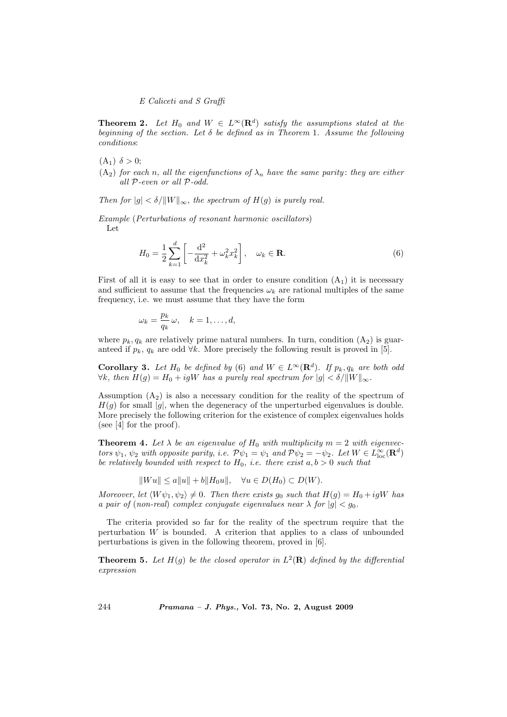**Theorem 2.** Let  $H_0$  and  $W \in L^{\infty}(\mathbf{R}^d)$  satisfy the assumptions stated at the beginning of the section. Let  $\delta$  be defined as in Theorem 1. Assume the following conditions:

- $(A_1) \delta > 0;$
- (A<sub>2</sub>) for each n, all the eigenfunctions of  $\lambda_n$  have the same parity: they are either all P-even or all P-odd.

Then for  $|g| < \delta/||W||_{\infty}$ , the spectrum of  $H(g)$  is purely real.

Example (Perturbations of resonant harmonic oscillators) Let

$$
H_0 = \frac{1}{2} \sum_{k=1}^{d} \left[ -\frac{d^2}{dx_k^2} + \omega_k^2 x_k^2 \right], \quad \omega_k \in \mathbf{R}.
$$
 (6)

First of all it is easy to see that in order to ensure condition  $(A_1)$  it is necessary and sufficient to assume that the frequencies  $\omega_k$  are rational multiples of the same frequency, i.e. we must assume that they have the form

$$
\omega_k = \frac{p_k}{q_k} \omega, \quad k = 1, \dots, d,
$$

where  $p_k, q_k$  are relatively prime natural numbers. In turn, condition  $(A_2)$  is guaranteed if  $p_k$ ,  $q_k$  are odd  $\forall k$ . More precisely the following result is proved in [5].

**Corollary 3.** Let  $H_0$  be defined by (6) and  $W \in L^{\infty}(\mathbf{R}^d)$ . If  $p_k, q_k$  are both odd  $\forall k$ , then  $H(g) = H_0 + igW$  has a purely real spectrum for  $|g| < \delta / ||W||_{\infty}$ .

Assumption  $(A_2)$  is also a necessary condition for the reality of the spectrum of  $H(q)$  for small |q|, when the degeneracy of the unperturbed eigenvalues is double. More precisely the following criterion for the existence of complex eigenvalues holds (see [4] for the proof).

**Theorem 4.** Let  $\lambda$  be an eigenvalue of  $H_0$  with multiplicity  $m = 2$  with eigenvectors  $\psi_1$ ,  $\psi_2$  with opposite parity, i.e.  $\mathcal{P}\psi_1 = \psi_1$  and  $\mathcal{P}\psi_2 = -\psi_2$ . Let  $W \in L^{\infty}_{loc}(\mathbf{R}^d)$ be relatively bounded with respect to  $H_0$ , i.e. there exist  $a, b > 0$  such that

 $\|Wu\| \le a\|u\| + b\|H_0u\|, \quad \forall u \in D(H_0) \subset D(W).$ 

Moreover, let  $\langle W\psi_1, \psi_2 \rangle \neq 0$ . Then there exists  $g_0$  such that  $H(g) = H_0 + igW$  has a pair of (non-real) complex conjugate eigenvalues near  $\lambda$  for  $|g| < g_0$ .

The criteria provided so far for the reality of the spectrum require that the perturbation W is bounded. A criterion that applies to a class of unbounded perturbations is given in the following theorem, proved in [6].

**Theorem 5.** Let  $H(g)$  be the closed operator in  $L^2(\mathbf{R})$  defined by the differential expression

244 Pramana – J. Phys., Vol. 73, No. 2, August 2009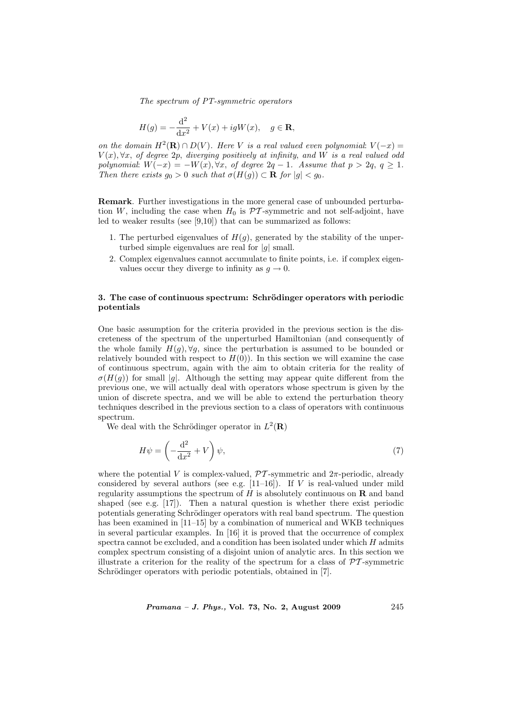The spectrum of PT-symmetric operators

$$
H(g) = -\frac{\mathrm{d}^2}{\mathrm{d}x^2} + V(x) + igW(x), \quad g \in \mathbf{R},
$$

on the domain  $H^2(\mathbf{R}) \cap D(V)$ . Here V is a real valued even polynomial:  $V(-x) =$  $V(x), \forall x$ , of degree 2p, diverging positively at infinity, and W is a real valued odd polynomial:  $W(-x) = -W(x), \forall x, \text{ of degree } 2q - 1.$  Assume that  $p > 2q, q \ge 1.$ Then there exists  $g_0 > 0$  such that  $\sigma(H(g)) \subset \mathbf{R}$  for  $|g| < g_0$ .

Remark. Further investigations in the more general case of unbounded perturbation W, including the case when  $H_0$  is  $\mathcal{PT}$ -symmetric and not self-adjoint, have led to weaker results (see [9,10]) that can be summarized as follows:

- 1. The perturbed eigenvalues of  $H(g)$ , generated by the stability of the unperturbed simple eigenvalues are real for  $|q|$  small.
- 2. Complex eigenvalues cannot accumulate to finite points, i.e. if complex eigenvalues occur they diverge to infinity as  $q \to 0$ .

## 3. The case of continuous spectrum: Schrödinger operators with periodic potentials

One basic assumption for the criteria provided in the previous section is the discreteness of the spectrum of the unperturbed Hamiltonian (and consequently of the whole family  $H(q), \forall q$ , since the perturbation is assumed to be bounded or relatively bounded with respect to  $H(0)$ ). In this section we will examine the case of continuous spectrum, again with the aim to obtain criteria for the reality of  $\sigma(H(q))$  for small |g|. Although the setting may appear quite different from the previous one, we will actually deal with operators whose spectrum is given by the union of discrete spectra, and we will be able to extend the perturbation theory techniques described in the previous section to a class of operators with continuous spectrum.

We deal with the Schrödinger operator in  $L^2(\mathbf{R})$ 

$$
H\psi = \left(-\frac{\mathrm{d}^2}{\mathrm{d}x^2} + V\right)\psi,\tag{7}
$$

where the potential V is complex-valued,  $\mathcal{PT}$ -symmetric and  $2\pi$ -periodic, already considered by several authors (see e.g.  $[11-16]$ ). If  $V$  is real-valued under mild regularity assumptions the spectrum of  $H$  is absolutely continuous on  $\bf{R}$  and band shaped (see e.g. [17]). Then a natural question is whether there exist periodic potentials generating Schrödinger operators with real band spectrum. The question has been examined in [11–15] by a combination of numerical and WKB techniques in several particular examples. In [16] it is proved that the occurrence of complex spectra cannot be excluded, and a condition has been isolated under which  $H$  admits complex spectrum consisting of a disjoint union of analytic arcs. In this section we illustrate a criterion for the reality of the spectrum for a class of  $\mathcal{PT}$ -symmetric Schrödinger operators with periodic potentials, obtained in [7].

*Pramana – J. Phys.*, Vol. 73, No. 2, August 2009  $245$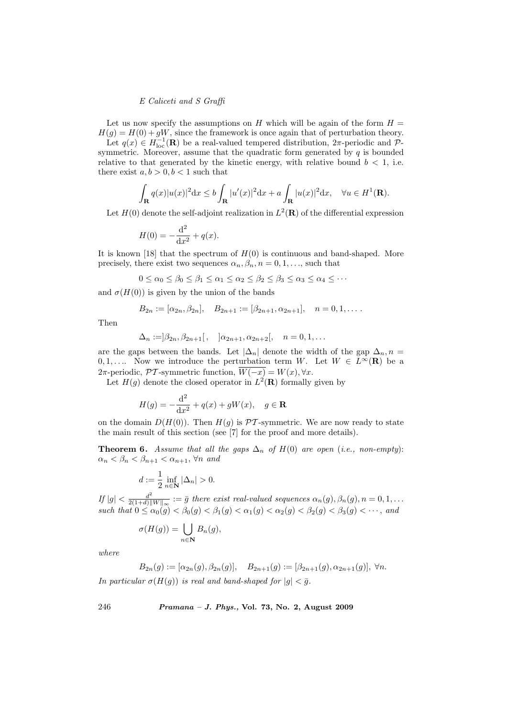Let us now specify the assumptions on H which will be again of the form  $H =$  $H(g) = H(0) + gW$ , since the framework is once again that of perturbation theory. Let  $q(x) \in H^{-1}_{loc}(\mathbf{R})$  be a real-valued tempered distribution,  $2\pi$ -periodic and  $\mathcal{P}$ symmetric. Moreover, assume that the quadratic form generated by  $q$  is bounded relative to that generated by the kinetic energy, with relative bound  $b < 1$ , i.e. there exist  $a, b > 0, b < 1$  such that

$$
\int_{\mathbf{R}} q(x)|u(x)|^2 dx \le b \int_{\mathbf{R}} |u'(x)|^2 dx + a \int_{\mathbf{R}} |u(x)|^2 dx, \quad \forall u \in H^1(\mathbf{R}).
$$

Let  $H(0)$  denote the self-adjoint realization in  $L^2(\mathbf{R})$  of the differential expression

$$
H(0) = -\frac{d^2}{dx^2} + q(x).
$$

It is known [18] that the spectrum of  $H(0)$  is continuous and band-shaped. More precisely, there exist two sequences  $\alpha_n, \beta_n, n = 0, 1, \ldots$ , such that

$$
0 \le \alpha_0 \le \beta_0 \le \beta_1 \le \alpha_1 \le \alpha_2 \le \beta_2 \le \beta_3 \le \alpha_3 \le \alpha_4 \le \cdots
$$

and  $\sigma(H(0))$  is given by the union of the bands

$$
B_{2n} := [\alpha_{2n}, \beta_{2n}], \quad B_{2n+1} := [\beta_{2n+1}, \alpha_{2n+1}], \quad n = 0, 1, \dots
$$

Then

$$
\Delta_n := ]\beta_{2n}, \beta_{2n+1}[ , \quad ]\alpha_{2n+1}, \alpha_{2n+2}[ , \quad n = 0, 1, ...
$$

are the gaps between the bands. Let  $|\Delta_n|$  denote the width of the gap  $\Delta_n$ , n = 0, 1, .... Now we introduce the perturbation term W. Let  $W \in L^{\infty}(\mathbf{R})$  be a 2π-periodic, PT-symmetric function,  $\overline{W(-x)} = W(x), \forall x$ .

Let  $H(g)$  denote the closed operator in  $L^2(\mathbf{R})$  formally given by

$$
H(g) = -\frac{\mathrm{d}^2}{\mathrm{d}x^2} + q(x) + gW(x), \quad g \in \mathbf{R}
$$

on the domain  $D(H(0))$ . Then  $H(q)$  is  $\mathcal{PT}$ -symmetric. We are now ready to state the main result of this section (see [7] for the proof and more details).

**Theorem 6.** Assume that all the gaps  $\Delta_n$  of  $H(0)$  are open (i.e., non-empty):  $\alpha_n < \beta_n < \beta_{n+1} < \alpha_{n+1}, \forall n \text{ and }$ 

$$
d := \frac{1}{2} \inf_{n \in \mathbb{N}} |\Delta_n| > 0.
$$

If  $|g| < \frac{d^2}{2(1+d)^{||}}$  $\frac{d^2}{2(1+d)\|W\|_{\infty}} := \bar{g}$  there exist real-valued sequences  $\alpha_n(g), \beta_n(g), n = 0, 1, \ldots$ such that  $0 \le \alpha_0(g) < \beta_0(g) < \beta_1(g) < \alpha_1(g) < \alpha_2(g) < \beta_2(g) < \beta_3(g) < \cdots$ , and

$$
\sigma(H(g)) = \bigcup_{n \in \mathbf{N}} B_n(g),
$$

where

$$
B_{2n}(g) := [\alpha_{2n}(g), \beta_{2n}(g)], \quad B_{2n+1}(g) := [\beta_{2n+1}(g), \alpha_{2n+1}(g)], \forall n.
$$

In particular  $\sigma(H(g))$  is real and band-shaped for  $|g| < \bar{g}$ .

246 Pramana – J. Phys., Vol. 73, No. 2, August 2009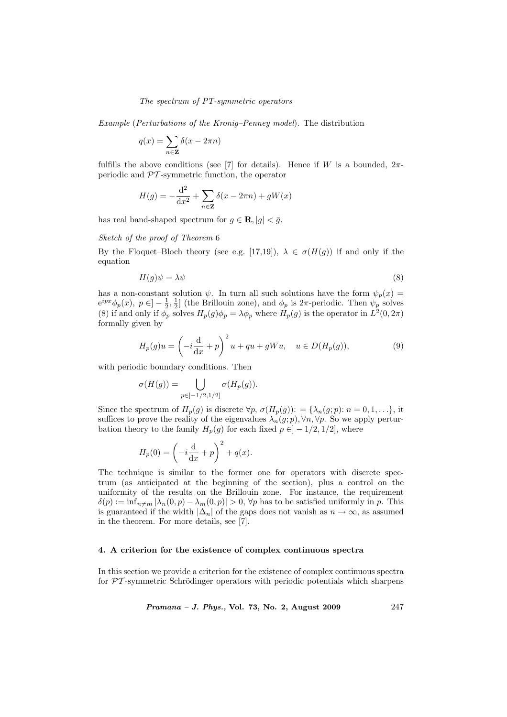## The spectrum of PT-symmetric operators

Example (Perturbations of the Kronig–Penney model). The distribution

$$
q(x) = \sum_{n \in \mathbf{Z}} \delta(x - 2\pi n)
$$

fulfills the above conditions (see [7] for details). Hence if W is a bounded,  $2\pi$ periodic and  $\mathcal{P}\mathcal{T}$ -symmetric function, the operator

$$
H(g) = -\frac{\mathrm{d}^2}{\mathrm{d}x^2} + \sum_{n \in \mathbf{Z}} \delta(x - 2\pi n) + gW(x)
$$

has real band-shaped spectrum for  $g \in \mathbf{R}$ ,  $|g| < \bar{g}$ .

Sketch of the proof of Theorem 6

By the Floquet–Bloch theory (see e.g. [17,19]),  $\lambda \in \sigma(H(g))$  if and only if the equation

$$
H(g)\psi = \lambda\psi\tag{8}
$$

has a non-constant solution  $\psi$ . In turn all such solutions have the form  $\psi_p(x) =$  $e^{ipx}\phi_p(x), p \in ]-\frac{1}{2},\frac{1}{2}]$  (the Brillouin zone), and  $\phi_p$  is  $2\pi$ -periodic. Then  $\psi_p$  solves (8) if and only if  $\phi_p$  solves  $H_p(g)\phi_p = \lambda \phi_p$  where  $H_p(g)$  is the operator in  $L^2(0, 2\pi)$ formally given by

$$
H_p(g)u = \left(-i\frac{d}{dx} + p\right)^2 u + qu + gWu, \quad u \in D(H_p(g)),\tag{9}
$$

with periodic boundary conditions. Then

$$
\sigma(H(g)) = \bigcup_{p \in ]-1/2,1/2]} \sigma(H_p(g)).
$$

Since the spectrum of  $H_p(g)$  is discrete  $\forall p, \sigma(H_p(g)) := {\lambda_n(g; p): n = 0, 1, \ldots}$ , it suffices to prove the reality of the eigenvalues  $\lambda_n(g; p)$ ,  $\forall n, \forall p$ . So we apply perturbation theory to the family  $H_p(g)$  for each fixed  $p \in ]-1/2,1/2]$ , where

$$
H_p(0) = \left(-i\frac{\mathrm{d}}{\mathrm{d}x} + p\right)^2 + q(x).
$$

The technique is similar to the former one for operators with discrete spectrum (as anticipated at the beginning of the section), plus a control on the uniformity of the results on the Brillouin zone. For instance, the requirement  $\delta(p) := \inf_{n \neq m} |\lambda_n(0, p) - \lambda_m(0, p)| > 0$ ,  $\forall p$  has to be satisfied uniformly in p. This is guaranteed if the width  $|\Delta_n|$  of the gaps does not vanish as  $n \to \infty$ , as assumed in the theorem. For more details, see [7].

#### 4. A criterion for the existence of complex continuous spectra

In this section we provide a criterion for the existence of complex continuous spectra for  $\mathcal{PT}$ -symmetric Schrödinger operators with periodic potentials which sharpens

*Pramana – J. Phys.*, Vol. 73, No. 2, August 2009  $247$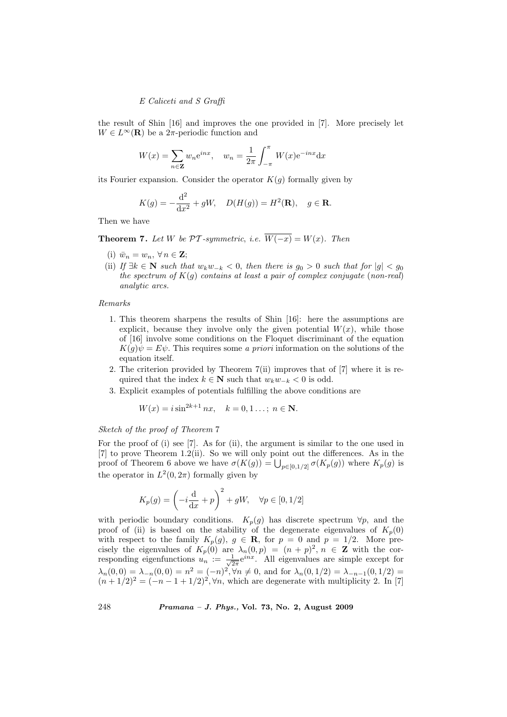the result of Shin [16] and improves the one provided in [7]. More precisely let  $W \in L^{\infty}(\mathbf{R})$  be a 2 $\pi$ -periodic function and

$$
W(x) = \sum_{n \in \mathbf{Z}} w_n e^{inx}, \quad w_n = \frac{1}{2\pi} \int_{-\pi}^{\pi} W(x) e^{-inx} dx
$$

its Fourier expansion. Consider the operator  $K(q)$  formally given by

$$
K(g) = -\frac{d^2}{dx^2} + gW
$$
,  $D(H(g)) = H^2(\mathbf{R})$ ,  $g \in \mathbf{R}$ .

Then we have

**Theorem 7.** Let W be  $\mathcal{PT}$ -symmetric, i.e.  $\overline{W(-x)} = W(x)$ . Then

- (i)  $\bar{w}_n = w_n, \forall n \in \mathbf{Z};$
- (ii) If  $\exists k \in \mathbb{N}$  such that  $w_k w_{-k} < 0$ , then there is  $g_0 > 0$  such that for  $|g| < g_0$ the spectrum of  $K(q)$  contains at least a pair of complex conjugate (non-real) analytic arcs.

#### Remarks

- 1. This theorem sharpens the results of Shin [16]: here the assumptions are explicit, because they involve only the given potential  $W(x)$ , while those of [16] involve some conditions on the Floquet discriminant of the equation  $K(q)\psi = E\psi$ . This requires some a priori information on the solutions of the equation itself.
- 2. The criterion provided by Theorem 7(ii) improves that of [7] where it is required that the index  $k \in \mathbb{N}$  such that  $w_k w_{-k} < 0$  is odd.
- 3. Explicit examples of potentials fulfilling the above conditions are

$$
W(x) = i \sin^{2k+1} nx
$$
,  $k = 0, 1 ...$ ;  $n \in \mathbb{N}$ .

Sketch of the proof of Theorem 7

For the proof of (i) see [7]. As for (ii), the argument is similar to the one used in [7] to prove Theorem 1.2(ii). So we will only point out the differences. As in the [*i*] to prove Theorem 1.2(ii). So we will only point out the differences. As in the proof of Theorem 6 above we have  $\sigma(K(g)) = \bigcup_{p \in [0,1/2]} \sigma(K_p(g))$  where  $K_p(g)$  is the operator in  $L^2(0, 2\pi)$  formally given by

$$
K_p(g) = \left(-i\frac{\mathrm{d}}{\mathrm{d}x} + p\right)^2 + gW, \quad \forall p \in [0, 1/2]
$$

with periodic boundary conditions.  $K_p(g)$  has discrete spectrum  $\forall p$ , and the proof of (ii) is based on the stability of the degenerate eigenvalues of  $K_p(0)$ with respect to the family  $K_p(g)$ ,  $g \in \mathbf{R}$ , for  $p = 0$  and  $p = 1/2$ . More precisely the eigenvalues of  $K_p(0)$  are  $\lambda_n(0,p) = (n+p)^2, n \in \mathbb{Z}$  with the corresponding eigenfunctions  $u_n := \frac{1}{\sqrt{2}}$  $\frac{1}{2\pi}e^{inx}$ . All eigenvalues are simple except for  $\lambda_n(0,0) = \lambda_{-n}(0,0) = n^2 = (-n)^2, \forall n \neq 0$ , and for  $\lambda_n(0,1/2) = \lambda_{-n-1}(0,1/2) =$  $(n+1/2)^2 = (-n-1+1/2)^2$ ,  $\forall n$ , which are degenerate with multiplicity 2. In [7]

248 Pramana – J. Phys., Vol. 73, No. 2, August 2009